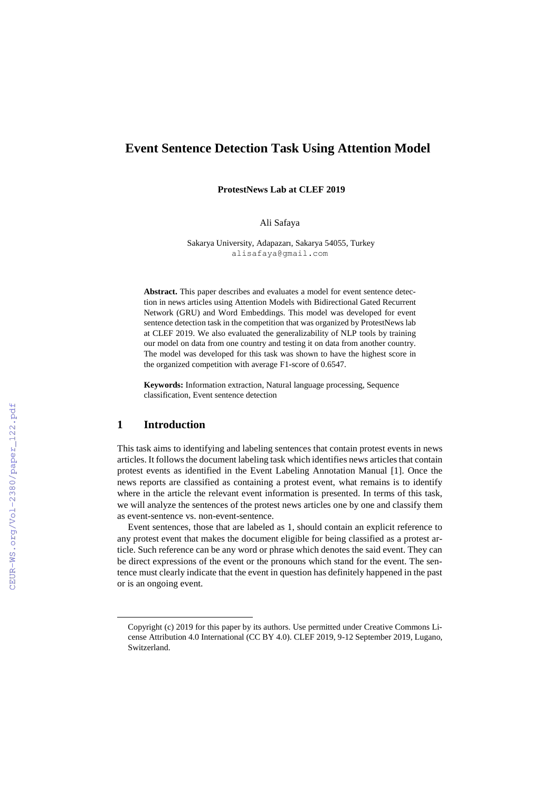# **Event Sentence Detection Task Using Attention Model\***

**ProtestNews Lab at CLEF 2019**

Ali Safaya

Sakarya University, Adapazarı, Sakarya 54055, Turkey alisafaya@gmail.com

**Abstract.** This paper describes and evaluates a model for event sentence detection in news articles using Attention Models with Bidirectional Gated Recurrent Network (GRU) and Word Embeddings. This model was developed for event sentence detection task in the competition that was organized by ProtestNews lab at CLEF 2019. We also evaluated the generalizability of NLP tools by training our model on data from one country and testing it on data from another country. The model was developed for this task was shown to have the highest score in the organized competition with average F1-score of 0.6547.

**Keywords:** Information extraction, Natural language processing, Sequence classification, Event sentence detection

## **1 Introduction**

l

This task aims to identifying and labeling sentences that contain protest events in news articles. It follows the document labeling task which identifies news articles that contain protest events as identified in the Event Labeling Annotation Manual [1]. Once the news reports are classified as containing a protest event, what remains is to identify where in the article the relevant event information is presented. In terms of this task, we will analyze the sentences of the protest news articles one by one and classify them as event-sentence vs. non-event-sentence.

Event sentences, those that are labeled as 1, should contain an explicit reference to any protest event that makes the document eligible for being classified as a protest article. Such reference can be any word or phrase which denotes the said event. They can be direct expressions of the event or the pronouns which stand for the event. The sentence must clearly indicate that the event in question has definitely happened in the past or is an ongoing event.

Copyright (c) 2019 for this paper by its authors. Use permitted under Creative Commons License Attribution 4.0 International (CC BY 4.0). CLEF 2019, 9-12 September 2019, Lugano, Switzerland.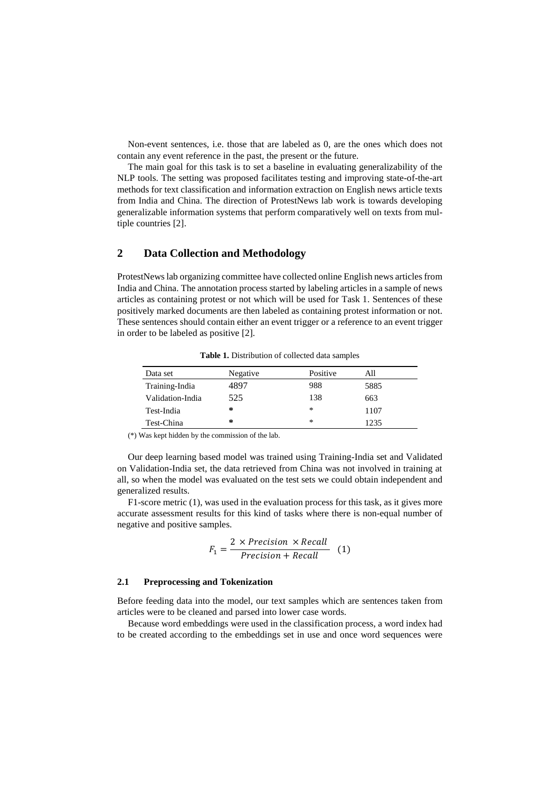Non-event sentences, i.e. those that are labeled as 0, are the ones which does not contain any event reference in the past, the present or the future.

The main goal for this task is to set a baseline in evaluating generalizability of the NLP tools. The setting was proposed facilitates testing and improving state-of-the-art methods for text classification and information extraction on English news article texts from India and China. The direction of ProtestNews lab work is towards developing generalizable information systems that perform comparatively well on texts from multiple countries [2].

# **2 Data Collection and Methodology**

ProtestNews lab organizing committee have collected online English news articles from India and China. The annotation process started by labeling articles in a sample of news articles as containing protest or not which will be used for Task 1. Sentences of these positively marked documents are then labeled as containing protest information or not. These sentences should contain either an event trigger or a reference to an event trigger in order to be labeled as positive [2].

| Data set         | Negative | Positive | All  |  |
|------------------|----------|----------|------|--|
| Training-India   | 4897     | 988      | 5885 |  |
| Validation-India | 525      | 138      | 663  |  |
| Test-India       | ∗        | $\ast$   | 1107 |  |
| Test-China       | ∗        | ∗        | 1235 |  |

**Table 1.** Distribution of collected data samples

(\*) Was kept hidden by the commission of the lab.

Our deep learning based model was trained using Training-India set and Validated on Validation-India set, the data retrieved from China was not involved in training at all, so when the model was evaluated on the test sets we could obtain independent and generalized results.

F1-score metric (1), was used in the evaluation process for this task, as it gives more accurate assessment results for this kind of tasks where there is non-equal number of negative and positive samples.

$$
F_1 = \frac{2 \times Precision \times Recall}{Precision + Recall} \quad (1)
$$

#### **2.1 Preprocessing and Tokenization**

Before feeding data into the model, our text samples which are sentences taken from articles were to be cleaned and parsed into lower case words.

Because word embeddings were used in the classification process, a word index had to be created according to the embeddings set in use and once word sequences were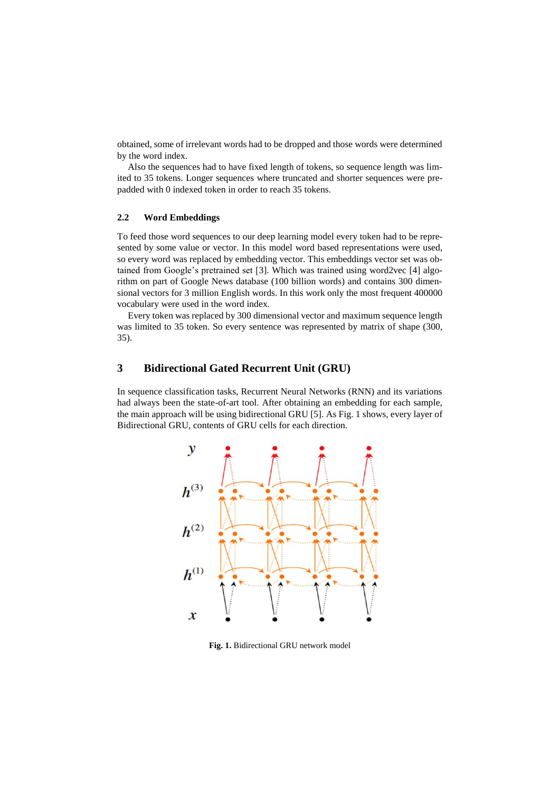obtained, some of irrelevant words had to be dropped and those words were determined by the word index.

Also the sequences had to have fixed length of tokens, so sequence length was limited to 35 tokens. Longer sequences where truncated and shorter sequences were prepadded with 0 indexed token in order to reach 35 tokens.

### **2.2 Word Embeddings**

To feed those word sequences to our deep learning model every token had to be represented by some value or vector. In this model word based representations were used, so every word was replaced by embedding vector. This embeddings vector set was obtained from Google's pretrained set [3]. Which was trained using word2vec [4] algorithm on part of Google News database (100 billion words) and contains 300 dimensional vectors for 3 million English words. In this work only the most frequent 400000 vocabulary were used in the word index.

Every token was replaced by 300 dimensional vector and maximum sequence length was limited to 35 token. So every sentence was represented by matrix of shape (300, 35).

# **3 Bidirectional Gated Recurrent Unit (GRU)**

In sequence classification tasks, Recurrent Neural Networks (RNN) and its variations had always been the state-of-art tool. After obtaining an embedding for each sample, the main approach will be using bidirectional GRU [5]. As Fig. 1 shows, every layer of Bidirectional GRU, contents of GRU cells for each direction.



**Fig. 1.** Bidirectional GRU network model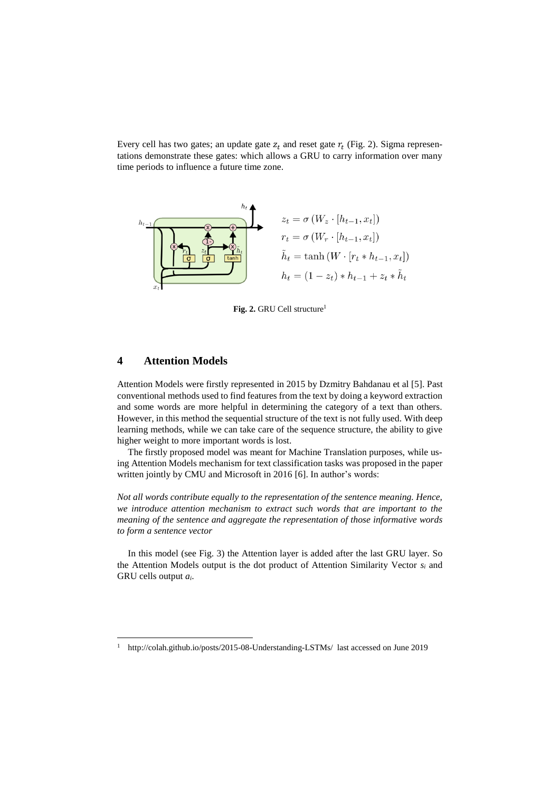Every cell has two gates; an update gate  $z_t$  and reset gate  $r_t$  (Fig. 2). Sigma representations demonstrate these gates: which allows a GRU to carry information over many time periods to influence a future time zone.



**Fig. 2.** GRU Cell structure<sup>1</sup>

### **4 Attention Models**

 $\overline{a}$ 

Attention Models were firstly represented in 2015 by Dzmitry Bahdanau et al [5]. Past conventional methods used to find features from the text by doing a keyword extraction and some words are more helpful in determining the category of a text than others. However, in this method the sequential structure of the text is not fully used. With deep learning methods, while we can take care of the sequence structure, the ability to give higher weight to more important words is lost.

The firstly proposed model was meant for Machine Translation purposes, while using Attention Models mechanism for text classification tasks was proposed in the paper written jointly by CMU and Microsoft in 2016 [6]. In author's words:

*Not all words contribute equally to the representation of the sentence meaning. Hence, we introduce attention mechanism to extract such words that are important to the meaning of the sentence and aggregate the representation of those informative words to form a sentence vector*

In this model (see Fig. 3) the Attention layer is added after the last GRU layer. So the Attention Models output is the dot product of Attention Similarity Vector *s<sup>i</sup>* and GRU cells output *ai*.

<sup>1</sup> <http://colah.github.io/posts/2015-08-Understanding-LSTMs/> last accessed on June 2019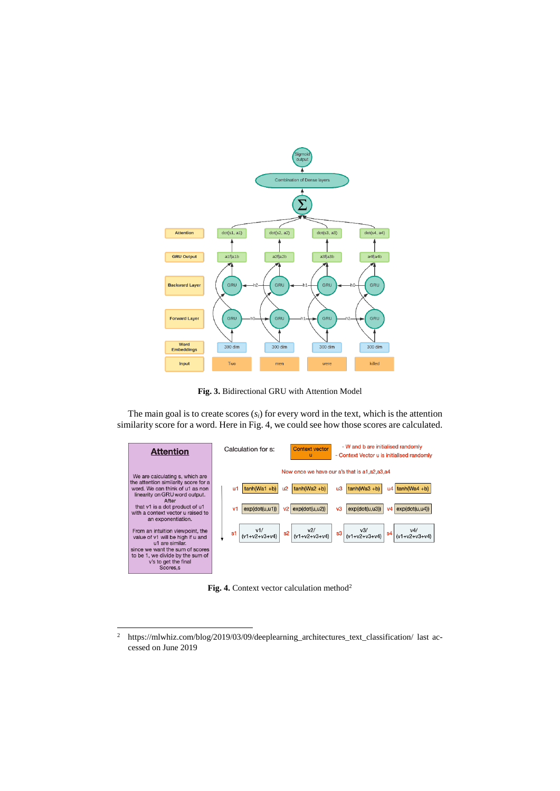

**Fig. 3.** Bidirectional GRU with Attention Model

The main goal is to create scores (*si*) for every word in the text, which is the attention similarity score for a word. Here in Fig. 4, we could see how those scores are calculated.



Fig. 4. Context vector calculation method<sup>2</sup>

 $\overline{2}$ <sup>2</sup> [https://mlwhiz.com/blog/2019/03/09/deeplearning\\_architectures\\_text\\_classification/](https://mlwhiz.com/blog/2019/03/09/deeplearning_architectures_text_classification/) last accessed on June 2019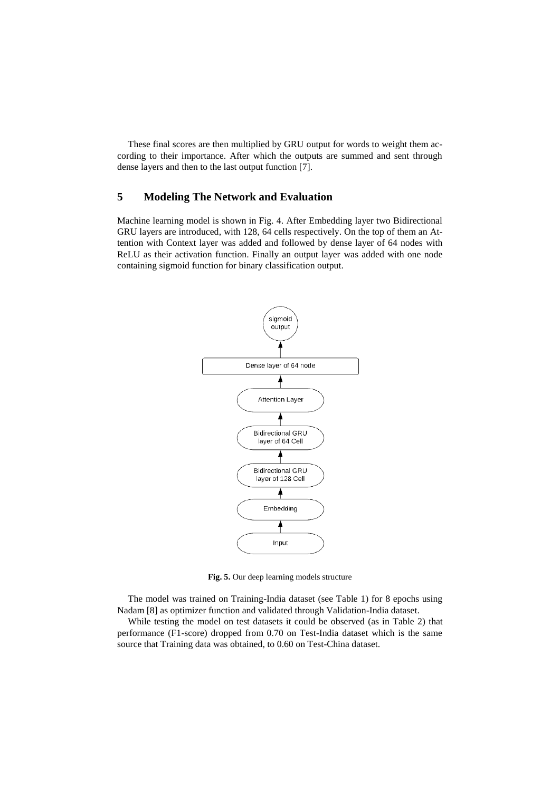These final scores are then multiplied by GRU output for words to weight them according to their importance. After which the outputs are summed and sent through dense layers and then to the last output function [7].

# **5 Modeling The Network and Evaluation**

Machine learning model is shown in Fig. 4. After Embedding layer two Bidirectional GRU layers are introduced, with 128, 64 cells respectively. On the top of them an Attention with Context layer was added and followed by dense layer of 64 nodes with ReLU as their activation function. Finally an output layer was added with one node containing sigmoid function for binary classification output.



**Fig. 5.** Our deep learning models structure

The model was trained on Training-India dataset (see Table 1) for 8 epochs using Nadam [8] as optimizer function and validated through Validation-India dataset.

While testing the model on test datasets it could be observed (as in Table 2) that performance (F1-score) dropped from 0.70 on Test-India dataset which is the same source that Training data was obtained, to 0.60 on Test-China dataset.